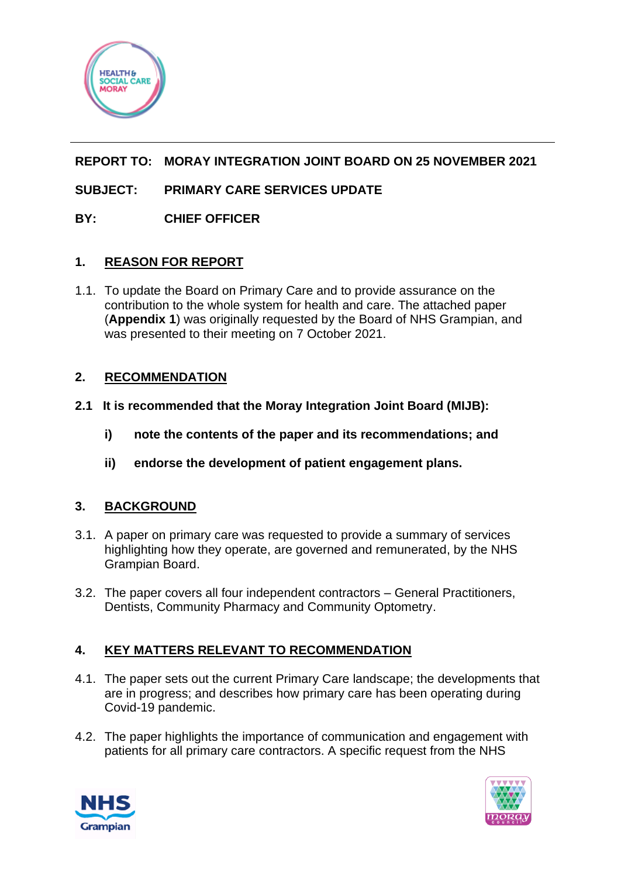

# **REPORT TO: MORAY INTEGRATION JOINT BOARD ON 25 NOVEMBER 2021**

# **SUBJECT: PRIMARY CARE SERVICES UPDATE**

## **BY: CHIEF OFFICER**

### **1. REASON FOR REPORT**

1.1. To update the Board on Primary Care and to provide assurance on the contribution to the whole system for health and care. The attached paper (**Appendix 1**) was originally requested by the Board of NHS Grampian, and was presented to their meeting on 7 October 2021.

## **2. RECOMMENDATION**

- **2.1 It is recommended that the Moray Integration Joint Board (MIJB):**
	- **i) note the contents of the paper and its recommendations; and**
	- **ii) endorse the development of patient engagement plans.**

### **3. BACKGROUND**

- 3.1. A paper on primary care was requested to provide a summary of services highlighting how they operate, are governed and remunerated, by the NHS Grampian Board.
- 3.2. The paper covers all four independent contractors General Practitioners, Dentists, Community Pharmacy and Community Optometry.

## **4. KEY MATTERS RELEVANT TO RECOMMENDATION**

- 4.1. The paper sets out the current Primary Care landscape; the developments that are in progress; and describes how primary care has been operating during Covid-19 pandemic.
- 4.2. The paper highlights the importance of communication and engagement with patients for all primary care contractors. A specific request from the NHS



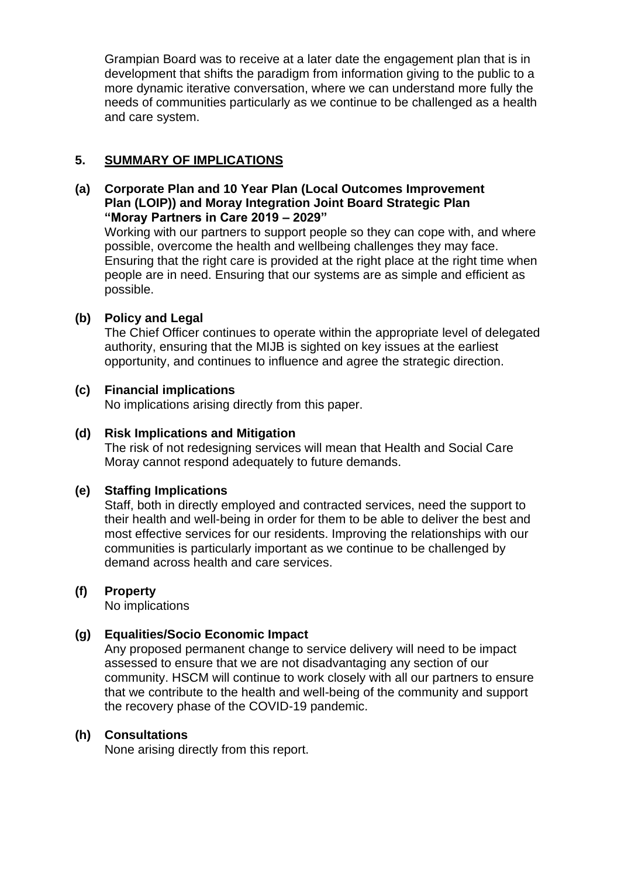Grampian Board was to receive at a later date the engagement plan that is in development that shifts the paradigm from information giving to the public to a more dynamic iterative conversation, where we can understand more fully the needs of communities particularly as we continue to be challenged as a health and care system.

### **5. SUMMARY OF IMPLICATIONS**

#### **(a) Corporate Plan and 10 Year Plan (Local Outcomes Improvement Plan (LOIP)) and Moray Integration Joint Board Strategic Plan "Moray Partners in Care 2019 – 2029"**

Working with our partners to support people so they can cope with, and where possible, overcome the health and wellbeing challenges they may face. Ensuring that the right care is provided at the right place at the right time when people are in need. Ensuring that our systems are as simple and efficient as possible.

### **(b) Policy and Legal**

The Chief Officer continues to operate within the appropriate level of delegated authority, ensuring that the MIJB is sighted on key issues at the earliest opportunity, and continues to influence and agree the strategic direction.

### **(c) Financial implications**

No implications arising directly from this paper.

### **(d) Risk Implications and Mitigation**

The risk of not redesigning services will mean that Health and Social Care Moray cannot respond adequately to future demands.

#### **(e) Staffing Implications**

Staff, both in directly employed and contracted services, need the support to their health and well-being in order for them to be able to deliver the best and most effective services for our residents. Improving the relationships with our communities is particularly important as we continue to be challenged by demand across health and care services.

#### **(f) Property**

No implications

### **(g) Equalities/Socio Economic Impact**

Any proposed permanent change to service delivery will need to be impact assessed to ensure that we are not disadvantaging any section of our community. HSCM will continue to work closely with all our partners to ensure that we contribute to the health and well-being of the community and support the recovery phase of the COVID-19 pandemic.

#### **(h) Consultations**

None arising directly from this report.